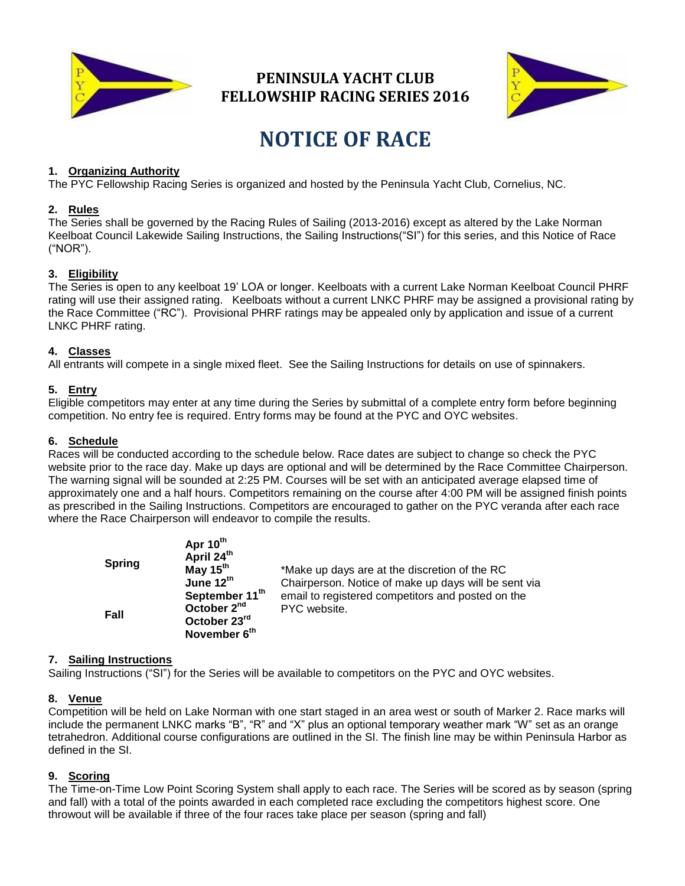

## **PENINSULA YACHT CLUB FELLOWSHIP RACING SERIES 2016**



# **NOTICE OF RACE**

#### **1. Organizing Authority**

The PYC Fellowship Racing Series is organized and hosted by the Peninsula Yacht Club, Cornelius, NC.

#### **2. Rules**

The Series shall be governed by the Racing Rules of Sailing (2013-2016) except as altered by the Lake Norman Keelboat Council Lakewide Sailing Instructions, the Sailing Instructions("SI") for this series, and this Notice of Race ("NOR").

#### **3. Eligibility**

The Series is open to any keelboat 19' LOA or longer. Keelboats with a current Lake Norman Keelboat Council PHRF rating will use their assigned rating. Keelboats without a current LNKC PHRF may be assigned a provisional rating by the Race Committee ("RC"). Provisional PHRF ratings may be appealed only by application and issue of a current LNKC PHRF rating.

#### **4. Classes**

All entrants will compete in a single mixed fleet. See the Sailing Instructions for details on use of spinnakers.

#### **5. Entry**

Eligible competitors may enter at any time during the Series by submittal of a complete entry form before beginning competition. No entry fee is required. Entry forms may be found at the PYC and OYC websites.

#### **6. Schedule**

Races will be conducted according to the schedule below. Race dates are subject to change so check the PYC website prior to the race day. Make up days are optional and will be determined by the Race Committee Chairperson. The warning signal will be sounded at 2:25 PM. Courses will be set with an anticipated average elapsed time of approximately one and a half hours. Competitors remaining on the course after 4:00 PM will be assigned finish points as prescribed in the Sailing Instructions. Competitors are encouraged to gather on the PYC veranda after each race where the Race Chairperson will endeavor to compile the results.

| <b>Spring</b> | Apr 10 <sup></sup><br>April 24th<br>May $15th$<br>June 12 <sup>th</sup> | *Make up days are at the discretion of the RC<br>Chairperson. Notice of make up days will be sent via |
|---------------|-------------------------------------------------------------------------|-------------------------------------------------------------------------------------------------------|
| Fall          | September 11th<br>October 2 <sup>nd</sup>                               | email to registered competitors and posted on the<br>PYC website.                                     |
|               | October 23 <sup>rd</sup><br>November 6th                                |                                                                                                       |

#### **7. Sailing Instructions**

Sailing Instructions ("SI") for the Series will be available to competitors on the PYC and OYC websites.

**Apr 10th**

#### **8. Venue**

Competition will be held on Lake Norman with one start staged in an area west or south of Marker 2. Race marks will include the permanent LNKC marks "B", "R" and "X" plus an optional temporary weather mark "W" set as an orange tetrahedron. Additional course configurations are outlined in the SI. The finish line may be within Peninsula Harbor as defined in the SI.

#### **9. Scoring**

The Time-on-Time Low Point Scoring System shall apply to each race. The Series will be scored as by season (spring and fall) with a total of the points awarded in each completed race excluding the competitors highest score. One throwout will be available if three of the four races take place per season (spring and fall)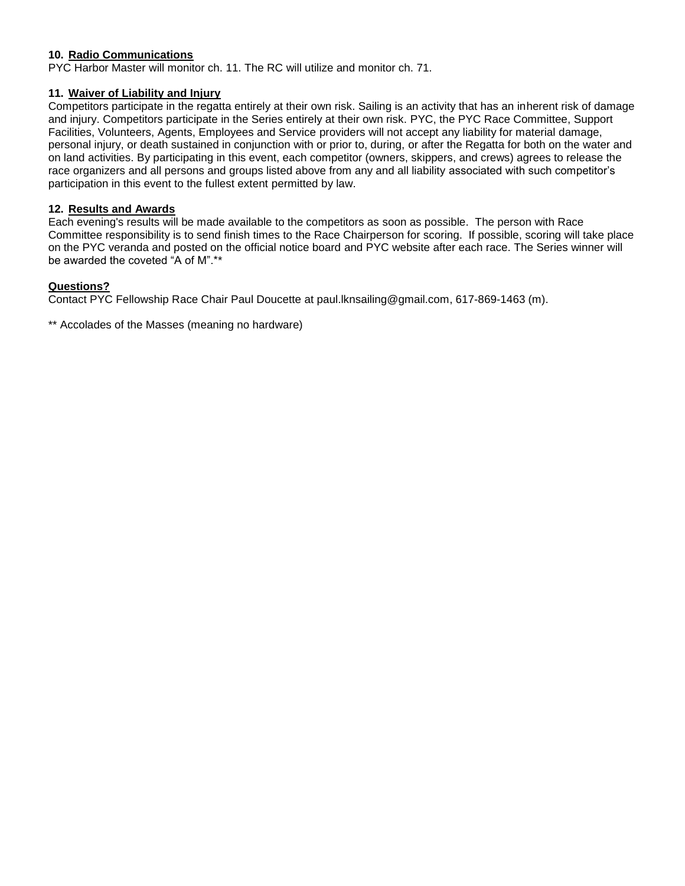#### **10. Radio Communications**

PYC Harbor Master will monitor ch. 11. The RC will utilize and monitor ch. 71.

#### **11. Waiver of Liability and Injury**

Competitors participate in the regatta entirely at their own risk. Sailing is an activity that has an inherent risk of damage and injury. Competitors participate in the Series entirely at their own risk. PYC, the PYC Race Committee, Support Facilities, Volunteers, Agents, Employees and Service providers will not accept any liability for material damage, personal injury, or death sustained in conjunction with or prior to, during, or after the Regatta for both on the water and on land activities. By participating in this event, each competitor (owners, skippers, and crews) agrees to release the race organizers and all persons and groups listed above from any and all liability associated with such competitor's participation in this event to the fullest extent permitted by law.

#### **12. Results and Awards**

Each evening's results will be made available to the competitors as soon as possible. The person with Race Committee responsibility is to send finish times to the Race Chairperson for scoring. If possible, scoring will take place on the PYC veranda and posted on the official notice board and PYC website after each race. The Series winner will be awarded the coveted "A of M".\*\*

#### **Questions?**

Contact PYC Fellowship Race Chair Paul Doucette at paul.lknsailing@gmail.com, 617-869-1463 (m).

\*\* Accolades of the Masses (meaning no hardware)